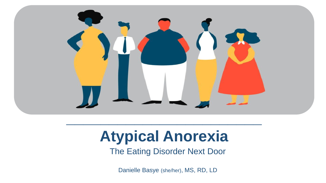

## **Atypical Anorexia**

The Eating Disorder Next Door

Danielle Basye (she/her), MS, RD, LD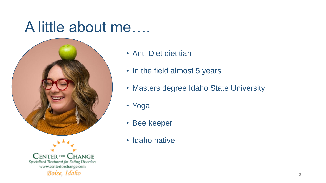#### A little about me….





- Anti-Diet dietitian
- In the field almost 5 years
- Masters degree Idaho State University
- Yoga
- Bee keeper
- Idaho native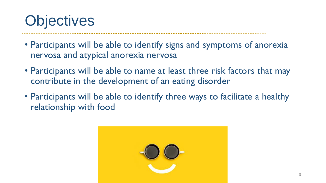# **Objectives**

- Participants will be able to identify signs and symptoms of anorexia nervosa and atypical anorexia nervosa
- Participants will be able to name at least three risk factors that may contribute in the development of an eating disorder
- Participants will be able to identify three ways to facilitate a healthy relationship with food

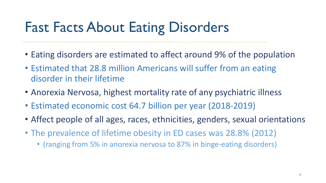## Fast Facts About Eating Disorders

- Eating disorders are estimated to affect around 9% of the population
- Estimated that 28.8 million Americans will suffer from an eating disorder in their lifetime
- Anorexia Nervosa, highest mortality rate of any psychiatric illness
- Estimated economic cost 64.7 billion per year (2018-2019)
- Affect people of all ages, races, ethnicities, genders, sexual orientations
- The prevalence of lifetime obesity in ED cases was 28.8% (2012)
	- (ranging from 5% in anorexia nervosa to 87% in binge-eating disorders)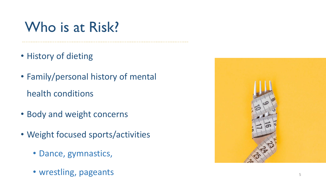### Who is at Risk?

- History of dieting
- Family/personal history of mental health conditions
- Body and weight concerns
- Weight focused sports/activities
	- Dance, gymnastics,
	- wrestling, pageants 5

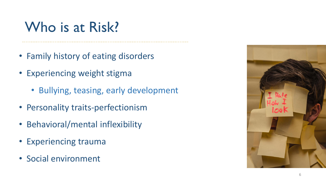### Who is at Risk?

- Family history of eating disorders
- Experiencing weight stigma
	- Bullying, teasing, early development
- Personality traits-perfectionism
- Behavioral/mental inflexibility
- Experiencing trauma
- Social environment

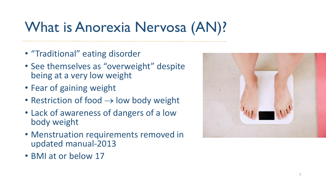## What is Anorexia Nervosa (AN)?

- "Traditional" eating disorder
- See themselves as "overweight" despite being at a very low weight
- Fear of gaining weight
- Restriction of food  $\rightarrow$  low body weight
- Lack of awareness of dangers of a low body weight
- Menstruation requirements removed in updated manual-2013
- BMI at or below 17

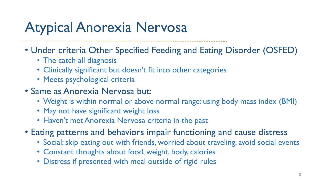## Atypical Anorexia Nervosa

- Under criteria Other Specified Feeding and Eating Disorder (OSFED)
	- The catch all diagnosis
	- Clinically significant but doesn't fit into other categories
	- Meets psychological criteria
- Same as Anorexia Nervosa but:
	- Weight is within normal or above normal range: using body mass index (BMI)
	- May not have significant weight loss
	- Haven't met Anorexia Nervosa criteria in the past
- Eating patterns and behaviors impair functioning and cause distress
	- Social: skip eating out with friends, worried about traveling, avoid social events
	- Constant thoughts about food, weight, body, calories
	- Distress if presented with meal outside of rigid rules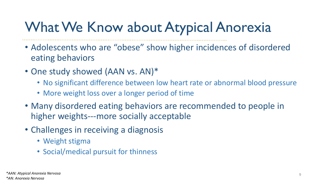## What We Know about Atypical Anorexia

- Adolescents who are "obese" show higher incidences of disordered eating behaviors
- One study showed (AAN vs. AN)\*
	- No significant difference between low heart rate or abnormal blood pressure
	- More weight loss over a longer period of time
- Many disordered eating behaviors are recommended to people in higher weights---more socially acceptable
- Challenges in receiving a diagnosis
	- Weight stigma
	- Social/medical pursuit for thinness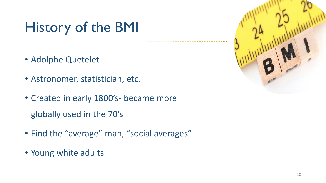## History of the BMI

- Adolphe Quetelet
- Astronomer, statistician, etc.
- Created in early 1800's- became more globally used in the 70's
- Find the "average" man, "social averages"
- Young white adults

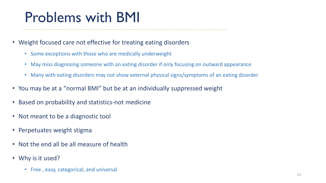### Problems with BMI

- Weight focused care not effective for treating eating disorders
	- Some exceptions with those who are medically underweight
	- May miss diagnosing someone with an eating disorder if only focusing on outward appearance
	- Many with eating disorders may not show external physical signs/symptoms of an eating disorder
- You may be at a "normal BMI" but be at an individually suppressed weight
- Based on probability and statistics-not medicine
- Not meant to be a diagnostic tool
- Perpetuates weight stigma
- Not the end all be all measure of health
- Why is it used?
	- Free , easy, categorical, and universal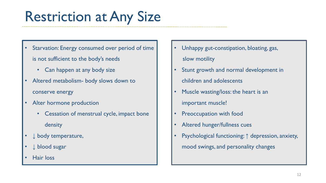## Restriction at Any Size

- Starvation: Energy consumed over period of time is not sufficient to the body's needs
	- Can happen at any body size
- Altered metabolism- body slows down to conserve energy
- Alter hormone production
	- Cessation of menstrual cycle, impact bone density
- ↓ body temperature,
- ↓ blood sugar
- Hair loss
- Unhappy gut-constipation, bloating, gas, slow motility
- Stunt growth and normal development in children and adolescents
- Muscle wasting/loss: the heart is an important muscle!
- Preoccupation with food
- Altered hunger/fullness cues
- Psychological functioning: ↑ depression, anxiety, mood swings, and personality changes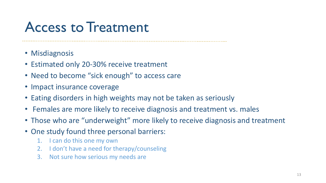#### Access to Treatment

- 
- Misdiagnosis
- Estimated only 20-30% receive treatment
- Need to become "sick enough" to access care
- Impact insurance coverage
- Eating disorders in high weights may not be taken as seriously
- Females are more likely to receive diagnosis and treatment vs. males
- Those who are "underweight" more likely to receive diagnosis and treatment
- One study found three personal barriers:
	- 1. I can do this one my own
	- 2. I don't have a need for therapy/counseling
	- 3. Not sure how serious my needs are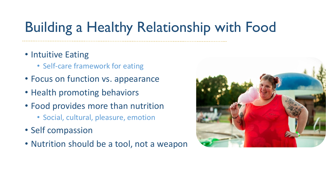## Building a Healthy Relationship with Food

- Intuitive Eating
	- Self-care framework for eating
- Focus on function vs. appearance
- Health promoting behaviors
- Food provides more than nutrition
	- Social, cultural, pleasure, emotion
- Self compassion
- Nutrition should be a tool, not a weapon

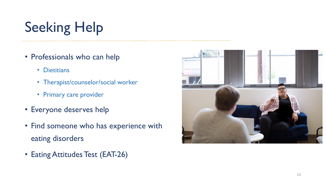# Seeking Help

- Professionals who can help
	- Dietitians
	- Therapist/counselor/social worker
	- Primary care provider
- Everyone deserves help
- Find someone who has experience with eating disorders
- Eating Attitudes Test (EAT-26)

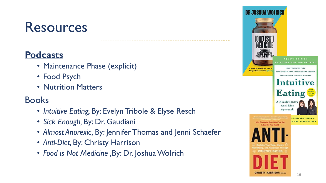#### Resources

#### **Podcasts**

- Maintenance Phase (explicit)
- Food Psych
- Nutrition Matters

#### Books

- *Intuitive Eating,* By: Evelyn Tribole & Elyse Resch
- *Sick Enough,* By: Dr. Gaudiani
- *Almost Anorexic,* By: Jennifer Thomas and Jenni Schaefer
- *Anti-Diet,* By: Christy Harrison
- *Food is Not Medicine ,*By: Dr. Joshua Wolrich